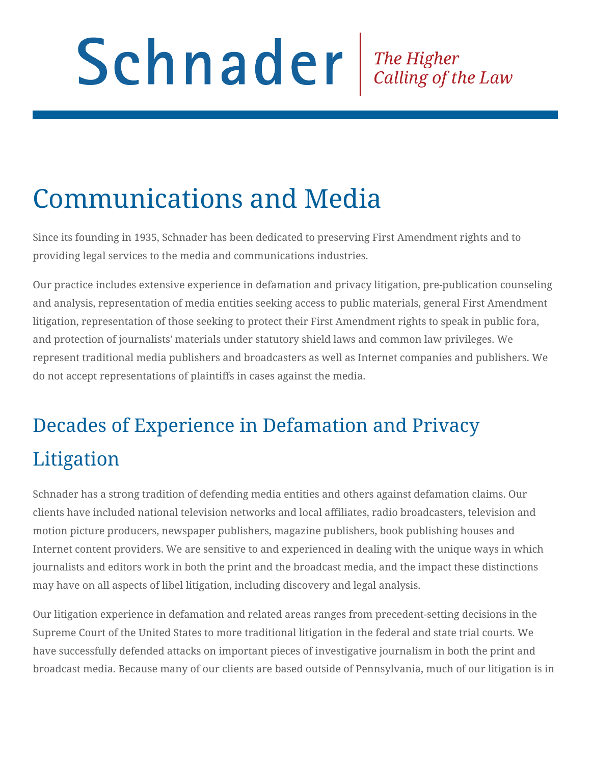# Schnader Fine Higher Calling of the Law

# Communications and Media

Since its founding in 1935, Schnader has been dedicated to preserving First Amendment rights and to providing legal services to the media and communications industries.

Our practice includes extensive experience in defamation and privacy litigation, pre-publication counseling and analysis, representation of media entities seeking access to public materials, general First Amendment litigation, representation of those seeking to protect their First Amendment rights to speak in public fora, and protection of journalists' materials under statutory shield laws and common law privileges. We represent traditional media publishers and broadcasters as well as Internet companies and publishers. We do not accept representations of plaintiffs in cases against the media.

## Decades of Experience in Defamation and Privacy Litigation

Schnader has a strong tradition of defending media entities and others against defamation claims. Our clients have included national television networks and local affiliates, radio broadcasters, television and motion picture producers, newspaper publishers, magazine publishers, book publishing houses and Internet content providers. We are sensitive to and experienced in dealing with the unique ways in which journalists and editors work in both the print and the broadcast media, and the impact these distinctions may have on all aspects of libel litigation, including discovery and legal analysis.

Our litigation experience in defamation and related areas ranges from precedent-setting decisions in the Supreme Court of the United States to more traditional litigation in the federal and state trial courts. We have successfully defended attacks on important pieces of investigative journalism in both the print and broadcast media. Because many of our clients are based outside of Pennsylvania, much of our litigation is in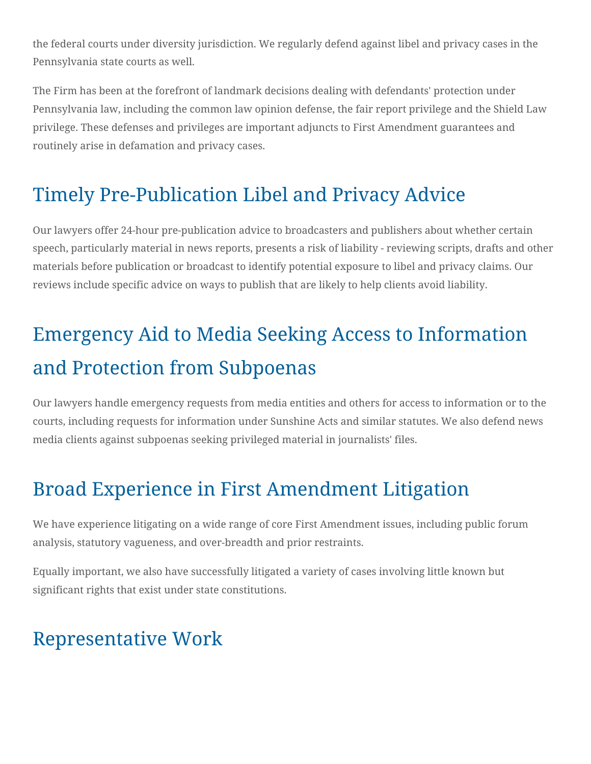the federal courts under diversity jurisdiction. We regularly defend against libel and privacy cases in the Pennsylvania state courts as well.

The Firm has been at the forefront of landmark decisions dealing with defendants' protection under Pennsylvania law, including the common law opinion defense, the fair report privilege and the Shield Law privilege. These defenses and privileges are important adjuncts to First Amendment guarantees and routinely arise in defamation and privacy cases.

### Timely Pre-Publication Libel and Privacy Advice

Our lawyers offer 24-hour pre-publication advice to broadcasters and publishers about whether certain speech, particularly material in news reports, presents a risk of liability - reviewing scripts, drafts and other materials before publication or broadcast to identify potential exposure to libel and privacy claims. Our reviews include specific advice on ways to publish that are likely to help clients avoid liability.

## Emergency Aid to Media Seeking Access to Information and Protection from Subpoenas

Our lawyers handle emergency requests from media entities and others for access to information or to the courts, including requests for information under Sunshine Acts and similar statutes. We also defend news media clients against subpoenas seeking privileged material in journalists' files.

## Broad Experience in First Amendment Litigation

We have experience litigating on a wide range of core First Amendment issues, including public forum analysis, statutory vagueness, and over-breadth and prior restraints.

Equally important, we also have successfully litigated a variety of cases involving little known but significant rights that exist under state constitutions.

### Representative Work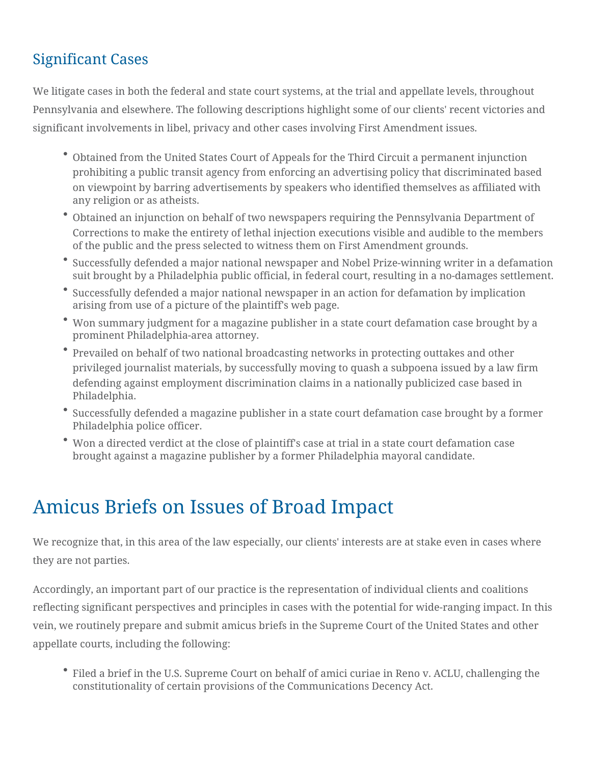#### Significant Cases

We litigate cases in both the federal and state court systems, at the trial and appellate levels, throughout Pennsylvania and elsewhere. The following descriptions highlight some of our clients' recent victories and significant involvements in libel, privacy and other cases involving First Amendment issues.

- Obtained from the United States Court of Appeals for the Third Circuit a permanent injunction prohibiting a public transit agency from enforcing an advertising policy that discriminated based on viewpoint by barring advertisements by speakers who identified themselves as affiliated with any religion or as atheists.
- Obtained an injunction on behalf of two newspapers requiring the Pennsylvania Department of Corrections to make the entirety of lethal injection executions visible and audible to the members of the public and the press selected to witness them on First Amendment grounds.
- Successfully defended a major national newspaper and Nobel Prize-winning writer in a defamation suit brought by a Philadelphia public official, in federal court, resulting in a no-damages settlement.
- Successfully defended a major national newspaper in an action for defamation by implication arising from use of a picture of the plaintiff's web page.
- Won summary judgment for a magazine publisher in a state court defamation case brought by a prominent Philadelphia-area attorney.
- Prevailed on behalf of two national broadcasting networks in protecting outtakes and other privileged journalist materials, by successfully moving to quash a subpoena issued by a law firm defending against employment discrimination claims in a nationally publicized case based in Philadelphia.
- Successfully defended a magazine publisher in a state court defamation case brought by a former Philadelphia police officer.
- Won a directed verdict at the close of plaintiff's case at trial in a state court defamation case brought against a magazine publisher by a former Philadelphia mayoral candidate.

### Amicus Briefs on Issues of Broad Impact

We recognize that, in this area of the law especially, our clients' interests are at stake even in cases where they are not parties.

Accordingly, an important part of our practice is the representation of individual clients and coalitions reflecting significant perspectives and principles in cases with the potential for wide-ranging impact. In this vein, we routinely prepare and submit amicus briefs in the Supreme Court of the United States and other appellate courts, including the following:

Filed a brief in the U.S. Supreme Court on behalf of amici curiae in Reno v. ACLU, challenging the constitutionality of certain provisions of the Communications Decency Act.